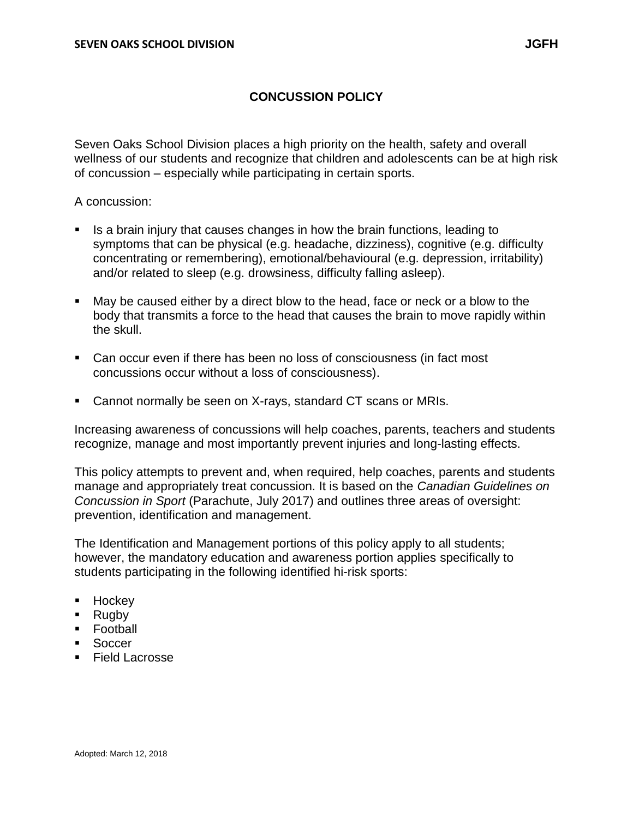# **CONCUSSION POLICY**

Seven Oaks School Division places a high priority on the health, safety and overall wellness of our students and recognize that children and adolescents can be at high risk of concussion – especially while participating in certain sports.

A concussion:

- If a brain injury that causes changes in how the brain functions, leading to symptoms that can be physical (e.g. headache, dizziness), cognitive (e.g. difficulty concentrating or remembering), emotional/behavioural (e.g. depression, irritability) and/or related to sleep (e.g. drowsiness, difficulty falling asleep).
- May be caused either by a direct blow to the head, face or neck or a blow to the body that transmits a force to the head that causes the brain to move rapidly within the skull.
- Can occur even if there has been no loss of consciousness (in fact most concussions occur without a loss of consciousness).
- Cannot normally be seen on X-rays, standard CT scans or MRIs.

Increasing awareness of concussions will help coaches, parents, teachers and students recognize, manage and most importantly prevent injuries and long-lasting effects.

This policy attempts to prevent and, when required, help coaches, parents and students manage and appropriately treat concussion. It is based on the *Canadian Guidelines on Concussion in Sport* (Parachute, July 2017) and outlines three areas of oversight: prevention, identification and management.

The Identification and Management portions of this policy apply to all students; however, the mandatory education and awareness portion applies specifically to students participating in the following identified hi-risk sports:

- **Hockey**
- Rugby
- Football
- **Soccer**
- Field Lacrosse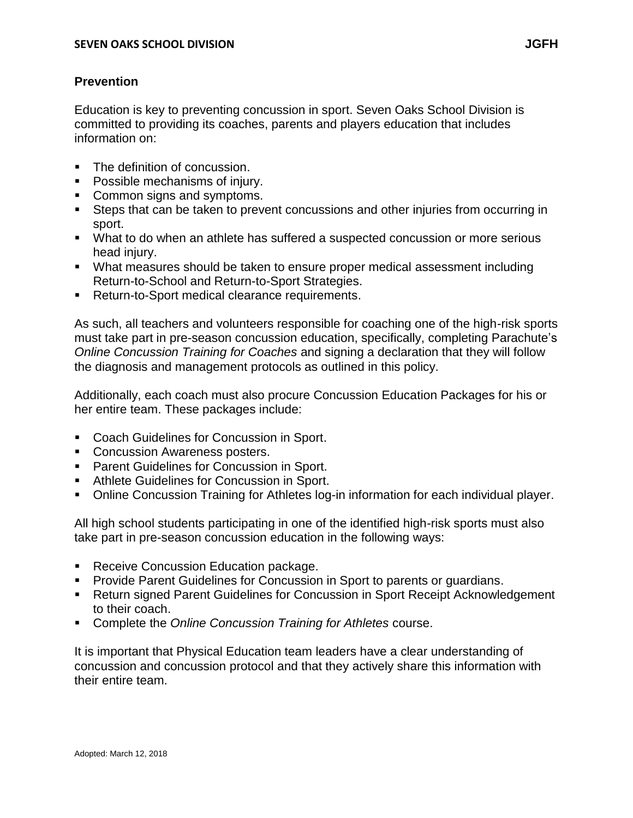# **Prevention**

Education is key to preventing concussion in sport. Seven Oaks School Division is committed to providing its coaches, parents and players education that includes information on:

- The definition of concussion.
- **Possible mechanisms of injury.**
- **Common signs and symptoms.**
- Steps that can be taken to prevent concussions and other injuries from occurring in sport.
- What to do when an athlete has suffered a suspected concussion or more serious head injury.
- What measures should be taken to ensure proper medical assessment including Return-to-School and Return-to-Sport Strategies.
- Return-to-Sport medical clearance requirements.

As such, all teachers and volunteers responsible for coaching one of the high-risk sports must take part in pre-season concussion education, specifically, completing Parachute's *Online Concussion Training for Coaches* and signing a declaration that they will follow the diagnosis and management protocols as outlined in this policy.

Additionally, each coach must also procure Concussion Education Packages for his or her entire team. These packages include:

- Coach Guidelines for Concussion in Sport.
- **Concussion Awareness posters.**
- **Parent Guidelines for Concussion in Sport.**
- **Athlete Guidelines for Concussion in Sport.**
- Online Concussion Training for Athletes log-in information for each individual player.

All high school students participating in one of the identified high-risk sports must also take part in pre-season concussion education in the following ways:

- **Receive Concussion Education package.**
- **Provide Parent Guidelines for Concussion in Sport to parents or guardians.**
- Return signed Parent Guidelines for Concussion in Sport Receipt Acknowledgement to their coach.
- Complete the *Online Concussion Training for Athletes* course.

It is important that Physical Education team leaders have a clear understanding of concussion and concussion protocol and that they actively share this information with their entire team.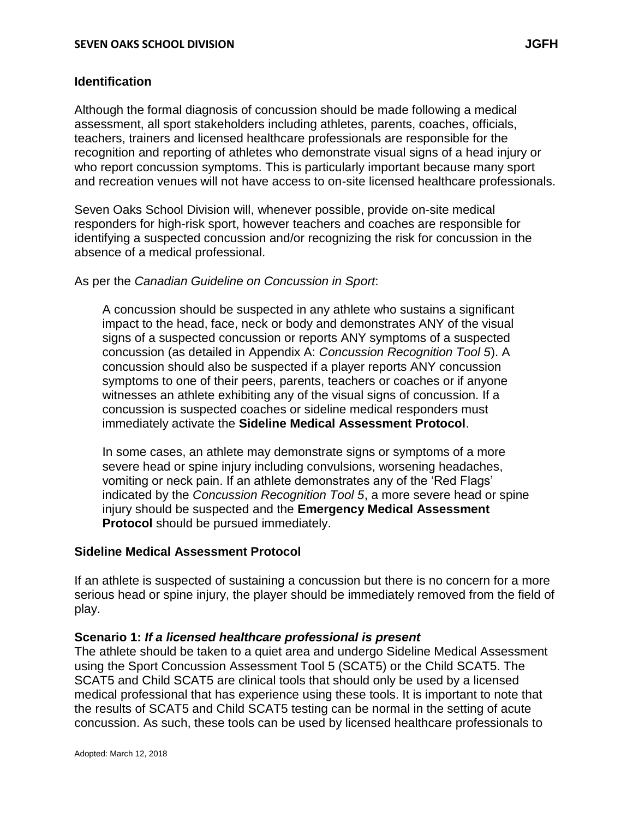# **Identification**

Although the formal diagnosis of concussion should be made following a medical assessment, all sport stakeholders including athletes, parents, coaches, officials, teachers, trainers and licensed healthcare professionals are responsible for the recognition and reporting of athletes who demonstrate visual signs of a head injury or who report concussion symptoms. This is particularly important because many sport and recreation venues will not have access to on-site licensed healthcare professionals.

Seven Oaks School Division will, whenever possible, provide on-site medical responders for high-risk sport, however teachers and coaches are responsible for identifying a suspected concussion and/or recognizing the risk for concussion in the absence of a medical professional.

## As per the *Canadian Guideline on Concussion in Sport*:

A concussion should be suspected in any athlete who sustains a significant impact to the head, face, neck or body and demonstrates ANY of the visual signs of a suspected concussion or reports ANY symptoms of a suspected concussion (as detailed in Appendix A: *Concussion Recognition Tool 5*). A concussion should also be suspected if a player reports ANY concussion symptoms to one of their peers, parents, teachers or coaches or if anyone witnesses an athlete exhibiting any of the visual signs of concussion. If a concussion is suspected coaches or sideline medical responders must immediately activate the **Sideline Medical Assessment Protocol**.

In some cases, an athlete may demonstrate signs or symptoms of a more severe head or spine injury including convulsions, worsening headaches, vomiting or neck pain. If an athlete demonstrates any of the 'Red Flags' indicated by the *Concussion Recognition Tool 5*, a more severe head or spine injury should be suspected and the **Emergency Medical Assessment Protocol** should be pursued immediately.

### **Sideline Medical Assessment Protocol**

If an athlete is suspected of sustaining a concussion but there is no concern for a more serious head or spine injury, the player should be immediately removed from the field of play.

# **Scenario 1:** *If a licensed healthcare professional is present*

The athlete should be taken to a quiet area and undergo Sideline Medical Assessment using the Sport Concussion Assessment Tool 5 (SCAT5) or the Child SCAT5. The SCAT5 and Child SCAT5 are clinical tools that should only be used by a licensed medical professional that has experience using these tools. It is important to note that the results of SCAT5 and Child SCAT5 testing can be normal in the setting of acute concussion. As such, these tools can be used by licensed healthcare professionals to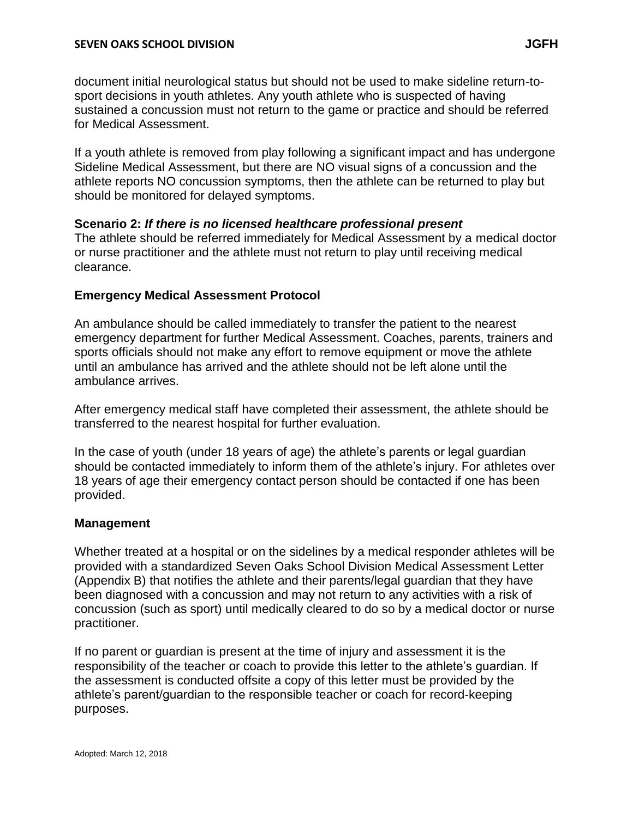document initial neurological status but should not be used to make sideline return-tosport decisions in youth athletes. Any youth athlete who is suspected of having sustained a concussion must not return to the game or practice and should be referred for Medical Assessment.

If a youth athlete is removed from play following a significant impact and has undergone Sideline Medical Assessment, but there are NO visual signs of a concussion and the athlete reports NO concussion symptoms, then the athlete can be returned to play but should be monitored for delayed symptoms.

# **Scenario 2:** *If there is no licensed healthcare professional present*

The athlete should be referred immediately for Medical Assessment by a medical doctor or nurse practitioner and the athlete must not return to play until receiving medical clearance.

# **Emergency Medical Assessment Protocol**

An ambulance should be called immediately to transfer the patient to the nearest emergency department for further Medical Assessment. Coaches, parents, trainers and sports officials should not make any effort to remove equipment or move the athlete until an ambulance has arrived and the athlete should not be left alone until the ambulance arrives.

After emergency medical staff have completed their assessment, the athlete should be transferred to the nearest hospital for further evaluation.

In the case of youth (under 18 years of age) the athlete's parents or legal guardian should be contacted immediately to inform them of the athlete's injury. For athletes over 18 years of age their emergency contact person should be contacted if one has been provided.

# **Management**

Whether treated at a hospital or on the sidelines by a medical responder athletes will be provided with a standardized Seven Oaks School Division Medical Assessment Letter (Appendix B) that notifies the athlete and their parents/legal guardian that they have been diagnosed with a concussion and may not return to any activities with a risk of concussion (such as sport) until medically cleared to do so by a medical doctor or nurse practitioner.

If no parent or guardian is present at the time of injury and assessment it is the responsibility of the teacher or coach to provide this letter to the athlete's guardian. If the assessment is conducted offsite a copy of this letter must be provided by the athlete's parent/guardian to the responsible teacher or coach for record-keeping purposes.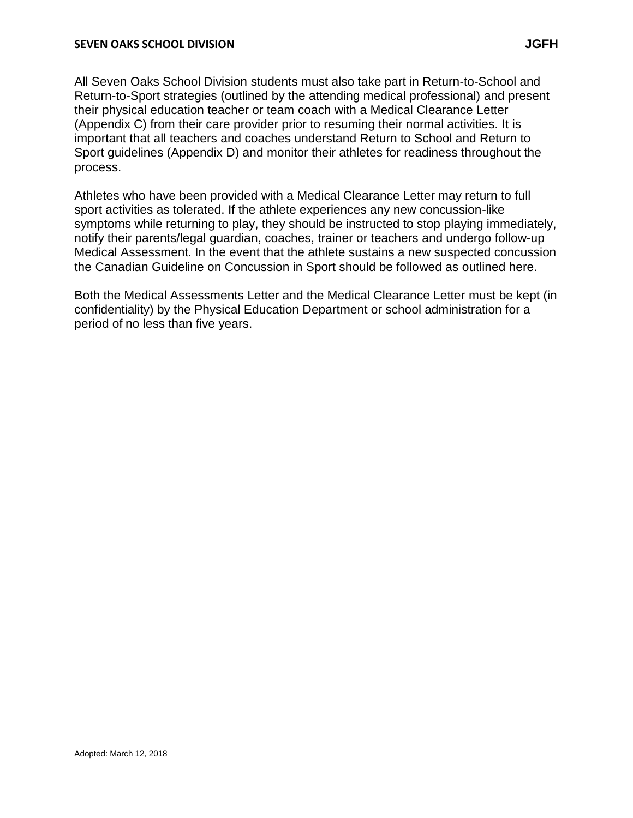All Seven Oaks School Division students must also take part in Return-to-School and Return-to-Sport strategies (outlined by the attending medical professional) and present their physical education teacher or team coach with a Medical Clearance Letter (Appendix C) from their care provider prior to resuming their normal activities. It is important that all teachers and coaches understand Return to School and Return to Sport guidelines (Appendix D) and monitor their athletes for readiness throughout the process.

Athletes who have been provided with a Medical Clearance Letter may return to full sport activities as tolerated. If the athlete experiences any new concussion-like symptoms while returning to play, they should be instructed to stop playing immediately, notify their parents/legal guardian, coaches, trainer or teachers and undergo follow-up Medical Assessment. In the event that the athlete sustains a new suspected concussion the Canadian Guideline on Concussion in Sport should be followed as outlined here.

Both the Medical Assessments Letter and the Medical Clearance Letter must be kept (in confidentiality) by the Physical Education Department or school administration for a period of no less than five years.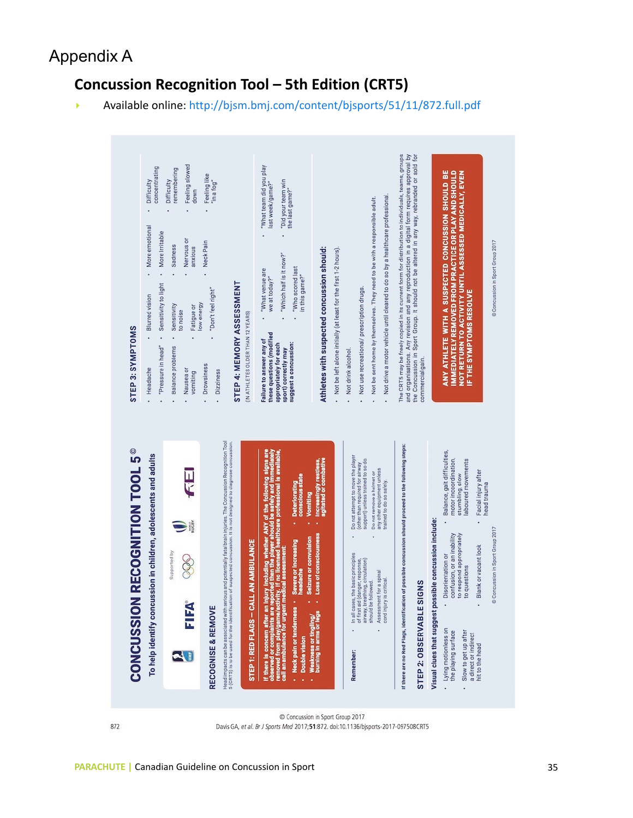# Appendix A

# Concussion Recognition Tool – 5th Edition (CRT5)

• Available online: http://bjsm.bmj.com/content/bjsports/51/11/872.full.pdf



Concussion in Sport Group 2017 Davis GA, et al. Br J Sports Med 2017;51:872. doi:10.1136/bisports-2017-097508CRT5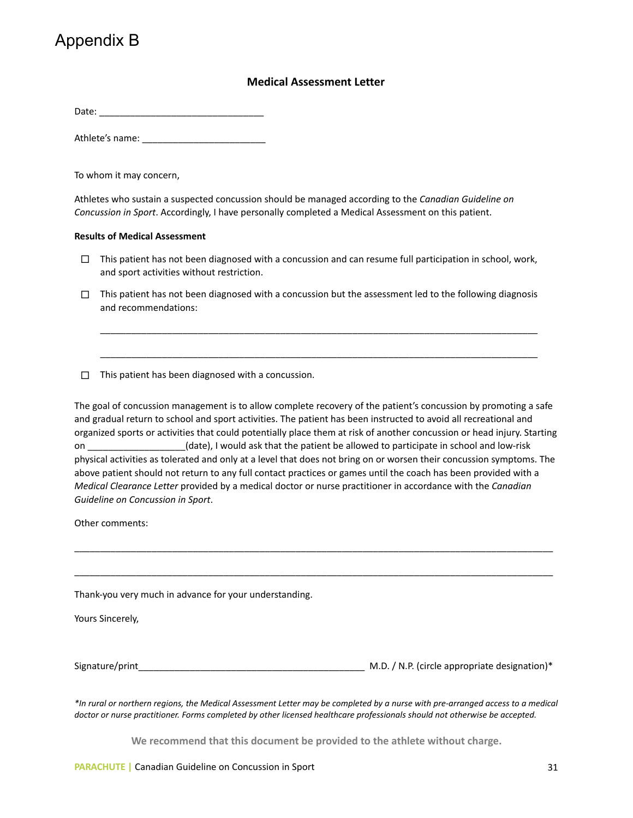# Appendix B

### **Medical'Assessment'Letter'**

Date:'\_\_\_\_\_\_\_\_\_\_\_\_\_\_\_\_\_\_\_\_\_\_\_\_\_\_\_\_\_\_\_\_'

Athlete's name:

To whom it may concern,

Athletes who sustain a suspected concussion should be managed according to the *Canadian Guideline on Concussion in Sport.* Accordingly, I have personally completed a Medical Assessment on this patient.

#### **Results'of'Medical'Assessment'**

- $\Box$  This patient has not been diagnosed with a concussion and can resume full participation in school, work, and sport activities without restriction.
- $\Box$  This patient has not been diagnosed with a concussion but the assessment led to the following diagnosis and recommendations:

\_\_\_\_\_\_\_\_\_\_\_\_\_\_\_\_\_\_\_\_\_\_\_\_\_\_\_\_\_\_\_\_\_\_\_\_\_\_\_\_\_\_\_\_\_\_\_\_\_\_\_\_\_\_\_\_\_\_\_\_\_\_\_\_\_\_\_\_\_\_\_\_\_\_\_\_\_\_\_\_\_\_\_\_\_'

\_\_\_\_\_\_\_\_\_\_\_\_\_\_\_\_\_\_\_\_\_\_\_\_\_\_\_\_\_\_\_\_\_\_\_\_\_\_\_\_\_\_\_\_\_\_\_\_\_\_\_\_\_\_\_\_\_\_\_\_\_\_\_\_\_\_\_\_\_\_\_\_\_\_\_\_\_\_\_\_\_\_\_\_\_

 $\Box$  This patient has been diagnosed with a concussion.

The goal of concussion management is to allow complete recovery of the patient's concussion by promoting a safe and gradual return to school and sport activities. The patient has been instructed to avoid all recreational and organized sports or activities that could potentially place them at risk of another concussion or head injury. Starting on \_\_\_\_\_\_\_\_\_\_\_\_\_\_\_\_\_\_(date), I would ask that the patient be allowed to participate in school and low-risk physical activities as tolerated and only at a level that does not bring on or worsen their concussion symptoms. The above patient should not return to any full contact practices or games until the coach has been provided with a *Medical&Clearance&Letter*'provided'by'a'medical'doctor'or'nurse'practitioner'in'accordance'with'the'*Canadian&* Guideline on Concussion in Sport.

\_\_\_\_\_\_\_\_\_\_\_\_\_\_\_\_\_\_\_\_\_\_\_\_\_\_\_\_\_\_\_\_\_\_\_\_\_\_\_\_\_\_\_\_\_\_\_\_\_\_\_\_\_\_\_\_\_\_\_\_\_\_\_\_\_\_\_\_\_\_\_\_\_\_\_\_\_\_\_\_\_\_\_\_\_\_\_\_\_\_\_\_\_

\_\_\_\_\_\_\_\_\_\_\_\_\_\_\_\_\_\_\_\_\_\_\_\_\_\_\_\_\_\_\_\_\_\_\_\_\_\_\_\_\_\_\_\_\_\_\_\_\_\_\_\_\_\_\_\_\_\_\_\_\_\_\_\_\_\_\_\_\_\_\_\_\_\_\_\_\_\_\_\_\_\_\_\_\_\_\_\_\_\_\_\_\_'

Other comments:

Thank-you very much in advance for your understanding.

Yours Sincerely,

Signature/print\_\_\_\_\_\_\_\_\_\_\_\_\_\_\_\_\_\_\_\_\_\_\_\_\_\_\_\_\_\_\_\_\_\_\_\_\_\_\_\_\_\_\_\_''M.D.'/'N.P.'(circle'appropriate'designation)\*'

*\*In&rural&or&northern&regions,&the&Medical&Assessment&Letter&may&be&completed&by&a&nurse&with&pre=arranged&access&to&a&medical* doctor or nurse practitioner. Forms completed by other licensed healthcare professionals should not otherwise be accepted.

We recommend that this document be provided to the athlete without charge.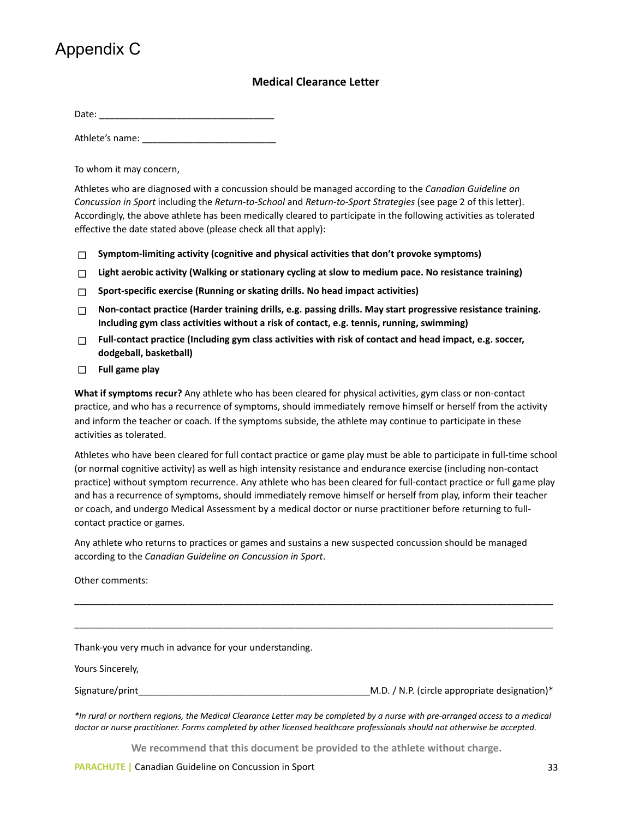# Appendix C

### **Medical'Clearance'Letter**

Date:'\_\_\_\_\_\_\_\_\_\_\_\_\_\_\_\_\_\_\_\_\_\_\_\_\_\_\_\_\_\_\_\_\_\_'

Athlete's'name:'\_\_\_\_\_\_\_\_\_\_\_\_\_\_\_\_\_\_\_\_\_\_\_\_\_\_

To whom it may concern,

Athletes who are diagnosed with a concussion should be managed according to the *Canadian Guideline on Concussion in Sport* including the *Return-to-School* and *Return-to-Sport Strategies* (see page 2 of this letter). Accordingly, the above athlete has been medically cleared to participate in the following activities as tolerated effective the date stated above (please check all that apply):

- □ Symptom-limiting activity (cognitive and physical activities that don't provoke symptoms)
- □ Light aerobic activity (Walking or stationary cycling at slow to medium pace. No resistance training)
- $\Box$  Sport-specific exercise (Running or skating drills. No head impact activities)
- ! **Non?contact'practice'(Harder'training'drills,'e.g.'passing'drills.'May'start'progressive'resistance'training.'** Including gym class activities without a risk of contact, e.g. tennis, running, swimming)
- $\Box$  Full-contact practice (Including gym class activities with risk of contact and head impact, e.g. soccer, **dodgeball,'basketball)**
- ! **Full'game'play'**

**What if symptoms recur?** Any athlete who has been cleared for physical activities, gym class or non-contact practice, and who has a recurrence of symptoms, should immediately remove himself or herself from the activity and inform the teacher or coach. If the symptoms subside, the athlete may continue to participate in these activities'as'tolerated.''

Athletes who have been cleared for full contact practice or game play must be able to participate in full-time school (or normal cognitive activity) as well as high intensity resistance and endurance exercise (including non-contact practice) without symptom recurrence. Any athlete who has been cleared for full-contact practice or full game play and'has a recurrence of symptoms, should immediately remove himself or herself from play, inform their teacher or coach, and undergo Medical Assessment by a medical doctor or nurse practitioner before returning to fullcontact practice or games.

Any athlete who returns to practices or games and sustains a new suspected concussion should be managed according to the *Canadian Guideline on Concussion in Sport*.

Other comments:

Thank-you very much in advance for your understanding.

Yours Sincerely,

Signature/print\_\_\_\_\_\_\_\_\_\_\_\_\_\_\_\_\_\_\_\_\_\_\_\_\_\_\_\_\_\_\_\_\_\_\_\_\_\_\_\_\_\_\_\_\_M.D.'/'N.P.'(circle'appropriate'designation)\*'

\_\_\_\_\_\_\_\_\_\_\_\_\_\_\_\_\_\_\_\_\_\_\_\_\_\_\_\_\_\_\_\_\_\_\_\_\_\_\_\_\_\_\_\_\_\_\_\_\_\_\_\_\_\_\_\_\_\_\_\_\_\_\_\_\_\_\_\_\_\_\_\_\_\_\_\_\_\_\_\_\_\_\_\_\_\_\_\_\_\_\_\_\_

 $\overline{a_1}$  ,  $\overline{a_2}$  ,  $\overline{a_3}$  ,  $\overline{a_4}$  ,  $\overline{a_5}$  ,  $\overline{a_6}$  ,  $\overline{a_7}$  ,  $\overline{a_8}$  ,  $\overline{a_9}$  ,  $\overline{a_9}$  ,  $\overline{a_9}$  ,  $\overline{a_9}$  ,  $\overline{a_9}$  ,  $\overline{a_9}$  ,  $\overline{a_9}$  ,  $\overline{a_9}$  ,  $\overline{a_9}$  ,

*\*In&rural&or&northern&regions,&the&Medical&Clearance&Letter&may&be&completed&by&a&nurse&with&pre=arranged&access&to&a&medical* doctor or nurse practitioner. Forms completed by other licensed healthcare professionals should not otherwise be accepted.

We recommend that this document be provided to the athlete without charge.